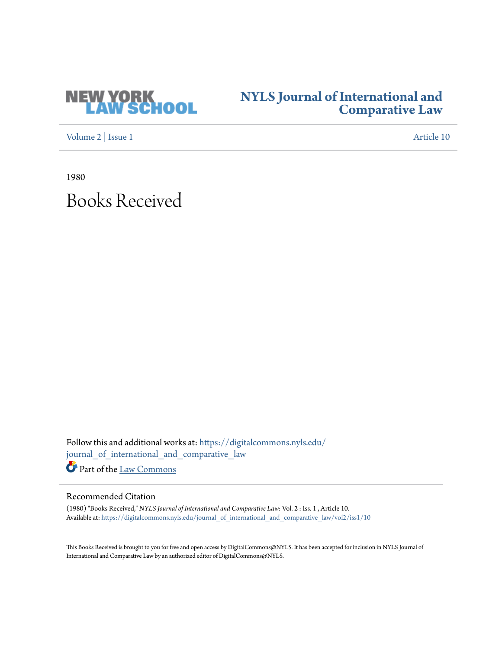

## **[NYLS Journal of International and](https://digitalcommons.nyls.edu/journal_of_international_and_comparative_law?utm_source=digitalcommons.nyls.edu%2Fjournal_of_international_and_comparative_law%2Fvol2%2Fiss1%2F10&utm_medium=PDF&utm_campaign=PDFCoverPages) [Comparative Law](https://digitalcommons.nyls.edu/journal_of_international_and_comparative_law?utm_source=digitalcommons.nyls.edu%2Fjournal_of_international_and_comparative_law%2Fvol2%2Fiss1%2F10&utm_medium=PDF&utm_campaign=PDFCoverPages)**

[Volume 2](https://digitalcommons.nyls.edu/journal_of_international_and_comparative_law/vol2?utm_source=digitalcommons.nyls.edu%2Fjournal_of_international_and_comparative_law%2Fvol2%2Fiss1%2F10&utm_medium=PDF&utm_campaign=PDFCoverPages) | [Issue 1](https://digitalcommons.nyls.edu/journal_of_international_and_comparative_law/vol2/iss1?utm_source=digitalcommons.nyls.edu%2Fjournal_of_international_and_comparative_law%2Fvol2%2Fiss1%2F10&utm_medium=PDF&utm_campaign=PDFCoverPages) [Article 10](https://digitalcommons.nyls.edu/journal_of_international_and_comparative_law/vol2/iss1/10?utm_source=digitalcommons.nyls.edu%2Fjournal_of_international_and_comparative_law%2Fvol2%2Fiss1%2F10&utm_medium=PDF&utm_campaign=PDFCoverPages)

1980

## Books Received

Follow this and additional works at: [https://digitalcommons.nyls.edu/](https://digitalcommons.nyls.edu/journal_of_international_and_comparative_law?utm_source=digitalcommons.nyls.edu%2Fjournal_of_international_and_comparative_law%2Fvol2%2Fiss1%2F10&utm_medium=PDF&utm_campaign=PDFCoverPages) [journal\\_of\\_international\\_and\\_comparative\\_law](https://digitalcommons.nyls.edu/journal_of_international_and_comparative_law?utm_source=digitalcommons.nyls.edu%2Fjournal_of_international_and_comparative_law%2Fvol2%2Fiss1%2F10&utm_medium=PDF&utm_campaign=PDFCoverPages) Part of the [Law Commons](http://network.bepress.com/hgg/discipline/578?utm_source=digitalcommons.nyls.edu%2Fjournal_of_international_and_comparative_law%2Fvol2%2Fiss1%2F10&utm_medium=PDF&utm_campaign=PDFCoverPages)

## Recommended Citation

(1980) "Books Received," *NYLS Journal of International and Comparative Law*: Vol. 2 : Iss. 1 , Article 10. Available at: [https://digitalcommons.nyls.edu/journal\\_of\\_international\\_and\\_comparative\\_law/vol2/iss1/10](https://digitalcommons.nyls.edu/journal_of_international_and_comparative_law/vol2/iss1/10?utm_source=digitalcommons.nyls.edu%2Fjournal_of_international_and_comparative_law%2Fvol2%2Fiss1%2F10&utm_medium=PDF&utm_campaign=PDFCoverPages)

This Books Received is brought to you for free and open access by DigitalCommons@NYLS. It has been accepted for inclusion in NYLS Journal of International and Comparative Law by an authorized editor of DigitalCommons@NYLS.